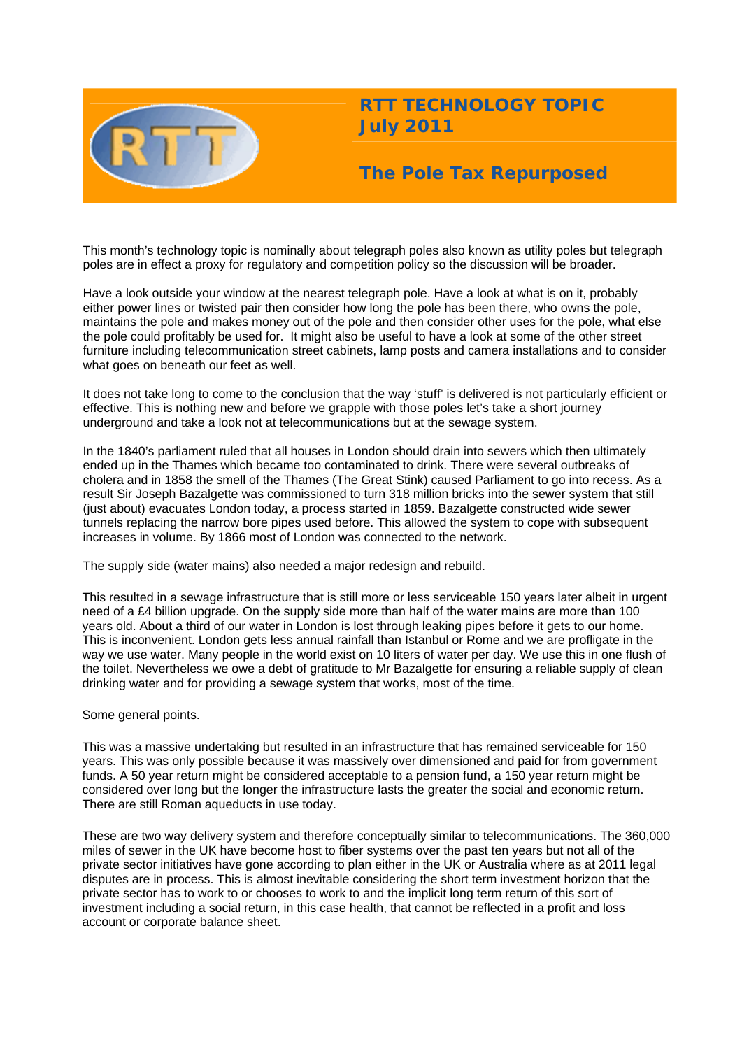

# **RTT TECHNOLOGY TOPIC July 2011**

# **The Pole Tax Repurposed**

This month's technology topic is nominally about telegraph poles also known as utility poles but telegraph poles are in effect a proxy for regulatory and competition policy so the discussion will be broader.

Have a look outside your window at the nearest telegraph pole. Have a look at what is on it, probably either power lines or twisted pair then consider how long the pole has been there, who owns the pole, maintains the pole and makes money out of the pole and then consider other uses for the pole, what else the pole could profitably be used for. It might also be useful to have a look at some of the other street furniture including telecommunication street cabinets, lamp posts and camera installations and to consider what goes on beneath our feet as well.

It does not take long to come to the conclusion that the way 'stuff' is delivered is not particularly efficient or effective. This is nothing new and before we grapple with those poles let's take a short journey underground and take a look not at telecommunications but at the sewage system.

In the 1840's parliament ruled that all houses in London should drain into sewers which then ultimately ended up in the Thames which became too contaminated to drink. There were several outbreaks of cholera and in 1858 the smell of the Thames (The Great Stink) caused Parliament to go into recess. As a result Sir Joseph Bazalgette was commissioned to turn 318 million bricks into the sewer system that still (just about) evacuates London today, a process started in 1859. Bazalgette constructed wide sewer tunnels replacing the narrow bore pipes used before. This allowed the system to cope with subsequent increases in volume. By 1866 most of London was connected to the network.

The supply side (water mains) also needed a major redesign and rebuild.

This resulted in a sewage infrastructure that is still more or less serviceable 150 years later albeit in urgent need of a £4 billion upgrade. On the supply side more than half of the water mains are more than 100 years old. About a third of our water in London is lost through leaking pipes before it gets to our home. This is inconvenient. London gets less annual rainfall than Istanbul or Rome and we are profligate in the way we use water. Many people in the world exist on 10 liters of water per day. We use this in one flush of the toilet. Nevertheless we owe a debt of gratitude to Mr Bazalgette for ensuring a reliable supply of clean drinking water and for providing a sewage system that works, most of the time.

## Some general points.

This was a massive undertaking but resulted in an infrastructure that has remained serviceable for 150 years. This was only possible because it was massively over dimensioned and paid for from government funds. A 50 year return might be considered acceptable to a pension fund, a 150 year return might be considered over long but the longer the infrastructure lasts the greater the social and economic return. There are still Roman aqueducts in use today.

These are two way delivery system and therefore conceptually similar to telecommunications. The 360,000 miles of sewer in the UK have become host to fiber systems over the past ten years but not all of the private sector initiatives have gone according to plan either in the UK or Australia where as at 2011 legal disputes are in process. This is almost inevitable considering the short term investment horizon that the private sector has to work to or chooses to work to and the implicit long term return of this sort of investment including a social return, in this case health, that cannot be reflected in a profit and loss account or corporate balance sheet.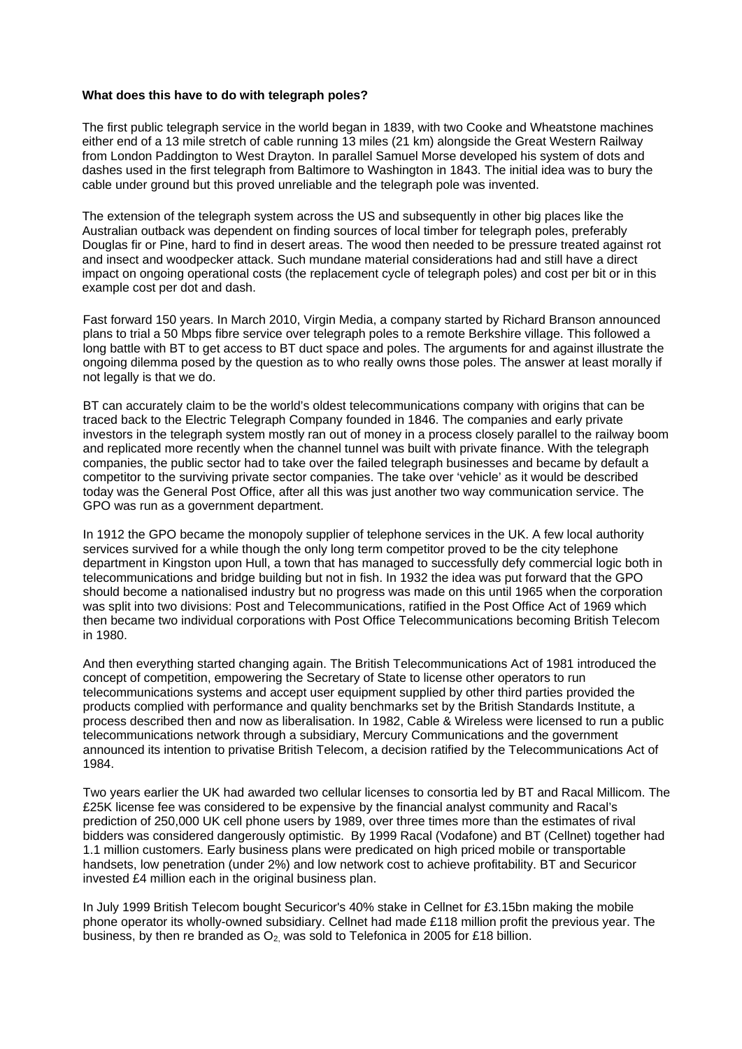### **What does this have to do with telegraph poles?**

The first public telegraph service in the world began in 1839, with two Cooke and Wheatstone machines either end of a 13 mile stretch of cable running 13 miles (21 km) alongside the Great Western Railway from London Paddington to West Drayton. In parallel Samuel Morse developed his system of dots and dashes used in the first telegraph from Baltimore to Washington in 1843. The initial idea was to bury the cable under ground but this proved unreliable and the telegraph pole was invented.

The extension of the telegraph system across the US and subsequently in other big places like the Australian outback was dependent on finding sources of local timber for telegraph poles, preferably Douglas fir or Pine, hard to find in desert areas. The wood then needed to be pressure treated against rot and insect and woodpecker attack. Such mundane material considerations had and still have a direct impact on ongoing operational costs (the replacement cycle of telegraph poles) and cost per bit or in this example cost per dot and dash.

Fast forward 150 years. In March 2010, Virgin Media, a company started by Richard Branson announced plans to trial a 50 Mbps fibre service over telegraph poles to a remote Berkshire village. This followed a long battle with BT to get access to BT duct space and poles. The arguments for and against illustrate the ongoing dilemma posed by the question as to who really owns those poles. The answer at least morally if not legally is that we do.

BT can accurately claim to be the world's oldest telecommunications company with origins that can be traced back to the Electric Telegraph Company founded in 1846. The companies and early private investors in the telegraph system mostly ran out of money in a process closely parallel to the railway boom and replicated more recently when the channel tunnel was built with private finance. With the telegraph companies, the public sector had to take over the failed telegraph businesses and became by default a competitor to the surviving private sector companies. The take over 'vehicle' as it would be described today was the General Post Office, after all this was just another two way communication service. The GPO was run as a government department.

In 1912 the GPO became the monopoly supplier of telephone services in the UK. A few local authority services survived for a while though the only long term competitor proved to be the city telephone department in Kingston upon Hull, a town that has managed to successfully defy commercial logic both in telecommunications and bridge building but not in fish. In 1932 the idea was put forward that the GPO should become a nationalised industry but no progress was made on this until 1965 when the corporation was split into two divisions: Post and Telecommunications, ratified in the Post Office Act of 1969 which then became two individual corporations with Post Office Telecommunications becoming British Telecom in 1980.

And then everything started changing again. The British Telecommunications Act of 1981 introduced the concept of competition, empowering the Secretary of State to license other operators to run telecommunications systems and accept user equipment supplied by other third parties provided the products complied with performance and quality benchmarks set by the British Standards Institute, a process described then and now as liberalisation. In 1982, Cable & Wireless were licensed to run a public telecommunications network through a subsidiary, Mercury Communications and the government announced its intention to privatise British Telecom, a decision ratified by the Telecommunications Act of 1984.

Two years earlier the UK had awarded two cellular licenses to consortia led by BT and Racal Millicom. The £25K license fee was considered to be expensive by the financial analyst community and Racal's prediction of 250,000 UK cell phone users by 1989, over three times more than the estimates of rival bidders was considered dangerously optimistic. By 1999 Racal (Vodafone) and BT (Cellnet) together had 1.1 million customers. Early business plans were predicated on high priced mobile or transportable handsets, low penetration (under 2%) and low network cost to achieve profitability. BT and Securicor invested £4 million each in the original business plan.

In July 1999 British Telecom bought Securicor's 40% stake in Cellnet for £3.15bn making the mobile phone operator its wholly-owned subsidiary. Cellnet had made £118 million profit the previous year. The business, by then re branded as  $O<sub>2</sub>$  was sold to Telefonica in 2005 for £18 billion.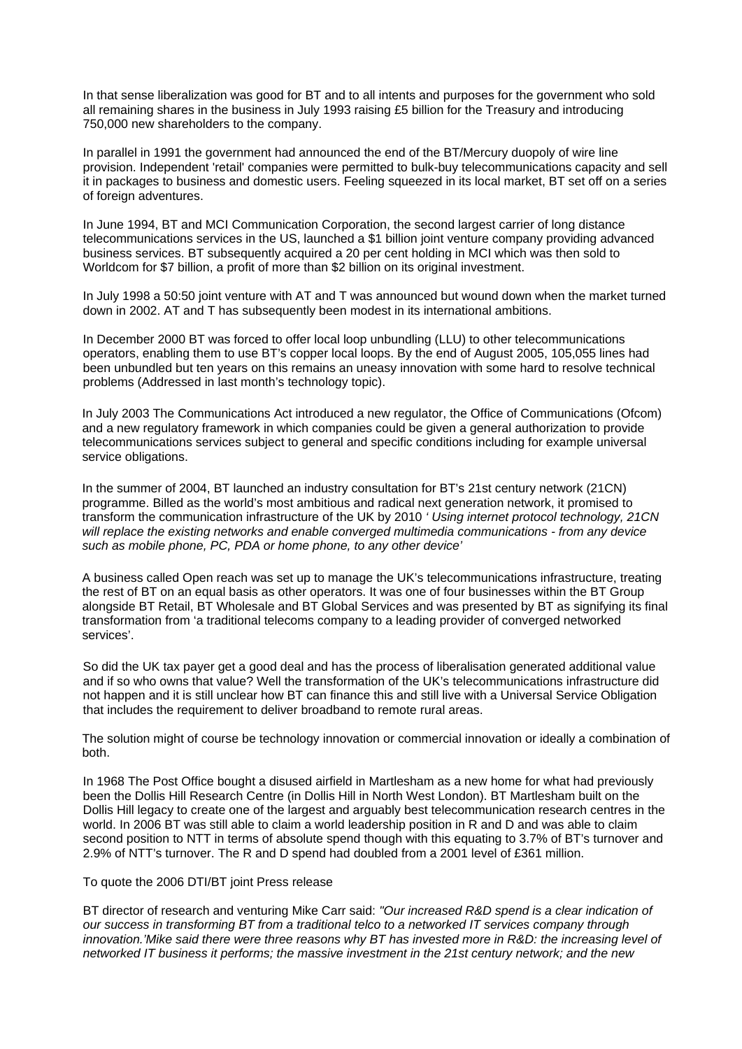In that sense liberalization was good for BT and to all intents and purposes for the government who sold all remaining shares in the business in July 1993 raising £5 billion for the Treasury and introducing 750,000 new shareholders to the company.

In parallel in 1991 the government had announced the end of the BT/Mercury duopoly of wire line provision. Independent 'retail' companies were permitted to bulk-buy telecommunications capacity and sell it in packages to business and domestic users. Feeling squeezed in its local market, BT set off on a series of foreign adventures.

In June 1994, BT and MCI Communication Corporation, the second largest carrier of long distance telecommunications services in the US, launched a \$1 billion joint venture company providing advanced business services. BT subsequently acquired a 20 per cent holding in MCI which was then sold to Worldcom for \$7 billion, a profit of more than \$2 billion on its original investment.

In July 1998 a 50:50 joint venture with AT and T was announced but wound down when the market turned down in 2002. AT and T has subsequently been modest in its international ambitions.

In December 2000 BT was forced to offer local loop unbundling (LLU) to other telecommunications operators, enabling them to use BT's copper local loops. By the end of August 2005, 105,055 lines had been unbundled but ten years on this remains an uneasy innovation with some hard to resolve technical problems (Addressed in last month's technology topic).

In July 2003 The Communications Act introduced a new regulator, the Office of Communications (Ofcom) and a new regulatory framework in which companies could be given a general authorization to provide telecommunications services subject to general and specific conditions including for example universal service obligations.

In the summer of 2004, BT launched an industry consultation for BT's 21st century network (21CN) programme. Billed as the world's most ambitious and radical next generation network, it promised to transform the communication infrastructure of the UK by 2010 *' Using internet protocol technology, 21CN will replace the existing networks and enable converged multimedia communications - from any device such as mobile phone, PC, PDA or home phone, to any other device'* 

A business called Open reach was set up to manage the UK's telecommunications infrastructure, treating the rest of BT on an equal basis as other operators. It was one of four businesses within the BT Group alongside BT Retail, BT Wholesale and BT Global Services and was presented by BT as signifying its final transformation from 'a traditional telecoms company to a leading provider of converged networked services'.

So did the UK tax payer get a good deal and has the process of liberalisation generated additional value and if so who owns that value? Well the transformation of the UK's telecommunications infrastructure did not happen and it is still unclear how BT can finance this and still live with a Universal Service Obligation that includes the requirement to deliver broadband to remote rural areas.

The solution might of course be technology innovation or commercial innovation or ideally a combination of both.

In 1968 The Post Office bought a disused airfield in Martlesham as a new home for what had previously been the Dollis Hill Research Centre (in Dollis Hill in North West London). BT Martlesham built on the Dollis Hill legacy to create one of the largest and arguably best telecommunication research centres in the world. In 2006 BT was still able to claim a world leadership position in R and D and was able to claim second position to NTT in terms of absolute spend though with this equating to 3.7% of BT's turnover and 2.9% of NTT's turnover. The R and D spend had doubled from a 2001 level of £361 million.

## To quote the 2006 DTI/BT joint Press release

BT director of research and venturing Mike Carr said: *"Our increased R&D spend is a clear indication of our success in transforming BT from a traditional telco to a networked IT services company through innovation.'Mike said there were three reasons why BT has invested more in R&D: the increasing level of networked IT business it performs; the massive investment in the 21st century network; and the new*